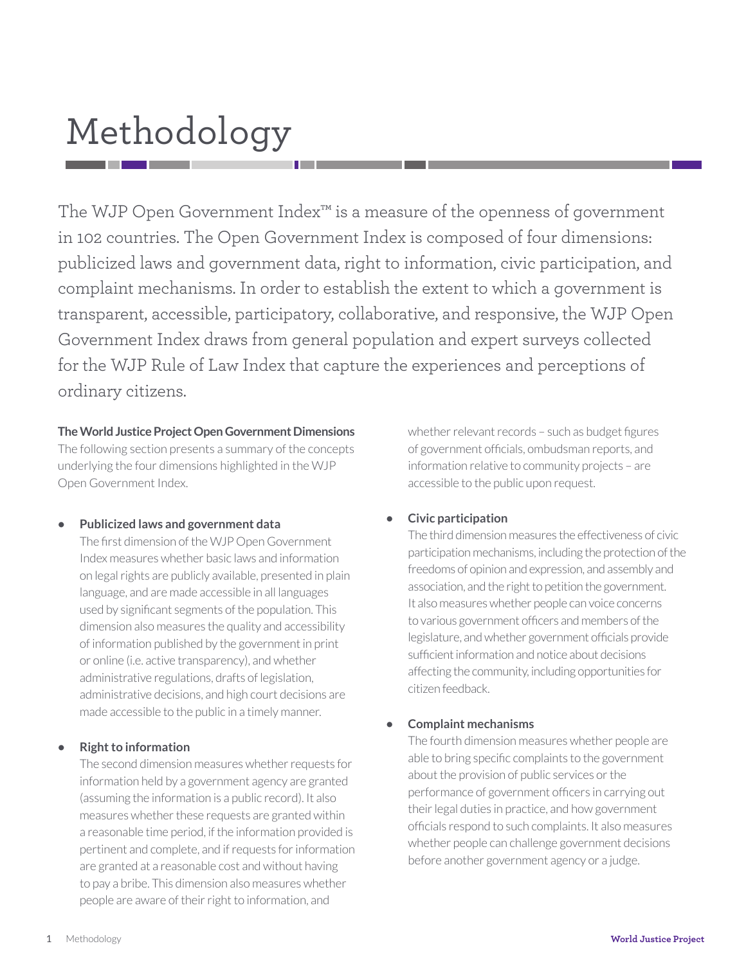# Methodology

The WJP Open Government Index™ is a measure of the openness of government in 102 countries. The Open Government Index is composed of four dimensions: publicized laws and government data, right to information, civic participation, and complaint mechanisms. In order to establish the extent to which a government is transparent, accessible, participatory, collaborative, and responsive, the WJP Open Government Index draws from general population and expert surveys collected for the WJP Rule of Law Index that capture the experiences and perceptions of ordinary citizens.

#### **The World Justice Project Open Government Dimensions**

The following section presents a summary of the concepts underlying the four dimensions highlighted in the WJP Open Government Index.

#### **• Publicized laws and government data**

The first dimension of the WJP Open Government Index measures whether basic laws and information on legal rights are publicly available, presented in plain language, and are made accessible in all languages used by significant segments of the population. This dimension also measures the quality and accessibility of information published by the government in print or online (i.e. active transparency), and whether administrative regulations, drafts of legislation, administrative decisions, and high court decisions are made accessible to the public in a timely manner.

#### **• Right to information**

The second dimension measures whether requests for information held by a government agency are granted (assuming the information is a public record). It also measures whether these requests are granted within a reasonable time period, if the information provided is pertinent and complete, and if requests for information are granted at a reasonable cost and without having to pay a bribe. This dimension also measures whether people are aware of their right to information, and

whether relevant records – such as budget figures of government officials, ombudsman reports, and information relative to community projects – are accessible to the public upon request.

#### **• Civic participation**

The third dimension measures the effectiveness of civic participation mechanisms, including the protection of the freedoms of opinion and expression, and assembly and association, and the right to petition the government. It also measures whether people can voice concerns to various government officers and members of the legislature, and whether government officials provide sufficient information and notice about decisions affecting the community, including opportunities for citizen feedback.

#### **• Complaint mechanisms**

The fourth dimension measures whether people are able to bring specific complaints to the government about the provision of public services or the performance of government officers in carrying out their legal duties in practice, and how government officials respond to such complaints. It also measures whether people can challenge government decisions before another government agency or a judge.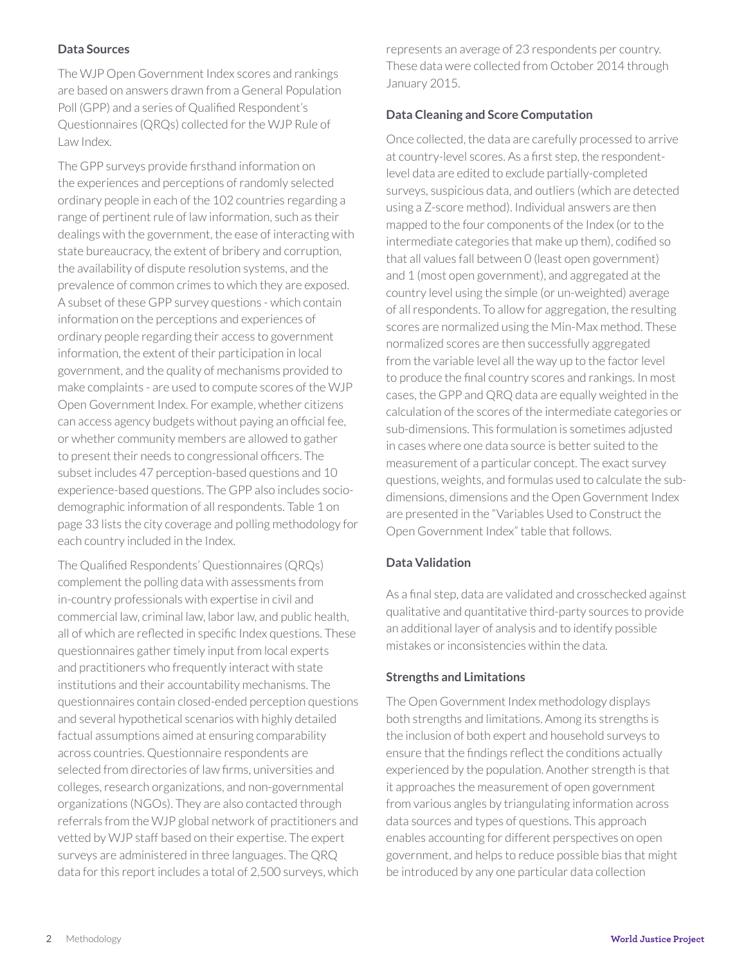#### **Data Sources**

The WJP Open Government Index scores and rankings are based on answers drawn from a General Population Poll (GPP) and a series of Qualified Respondent's Questionnaires (QRQs) collected for the WJP Rule of Law Index.

The GPP surveys provide firsthand information on the experiences and perceptions of randomly selected ordinary people in each of the 102 countries regarding a range of pertinent rule of law information, such as their dealings with the government, the ease of interacting with state bureaucracy, the extent of bribery and corruption, the availability of dispute resolution systems, and the prevalence of common crimes to which they are exposed. A subset of these GPP survey questions - which contain information on the perceptions and experiences of ordinary people regarding their access to government information, the extent of their participation in local government, and the quality of mechanisms provided to make complaints - are used to compute scores of the WJP Open Government Index. For example, whether citizens can access agency budgets without paying an official fee, or whether community members are allowed to gather to present their needs to congressional officers. The subset includes 47 perception-based questions and 10 experience-based questions. The GPP also includes sociodemographic information of all respondents. Table 1 on page 33 lists the city coverage and polling methodology for each country included in the Index.

The Qualified Respondents' Questionnaires (QRQs) complement the polling data with assessments from in-country professionals with expertise in civil and commercial law, criminal law, labor law, and public health, all of which are reflected in specific Index questions. These questionnaires gather timely input from local experts and practitioners who frequently interact with state institutions and their accountability mechanisms. The questionnaires contain closed-ended perception questions and several hypothetical scenarios with highly detailed factual assumptions aimed at ensuring comparability across countries. Questionnaire respondents are selected from directories of law firms, universities and colleges, research organizations, and non-governmental organizations (NGOs). They are also contacted through referrals from the WJP global network of practitioners and vetted by WJP staff based on their expertise. The expert surveys are administered in three languages. The QRQ data for this report includes a total of 2,500 surveys, which represents an average of 23 respondents per country. These data were collected from October 2014 through January 2015.

#### **Data Cleaning and Score Computation**

Once collected, the data are carefully processed to arrive at country-level scores. As a first step, the respondentlevel data are edited to exclude partially-completed surveys, suspicious data, and outliers (which are detected using a Z-score method). Individual answers are then mapped to the four components of the Index (or to the intermediate categories that make up them), codified so that all values fall between 0 (least open government) and 1 (most open government), and aggregated at the country level using the simple (or un-weighted) average of all respondents. To allow for aggregation, the resulting scores are normalized using the Min-Max method. These normalized scores are then successfully aggregated from the variable level all the way up to the factor level to produce the final country scores and rankings. In most cases, the GPP and QRQ data are equally weighted in the calculation of the scores of the intermediate categories or sub-dimensions. This formulation is sometimes adjusted in cases where one data source is better suited to the measurement of a particular concept. The exact survey questions, weights, and formulas used to calculate the subdimensions, dimensions and the Open Government Index are presented in the "Variables Used to Construct the Open Government Index" table that follows.

#### **Data Validation**

As a final step, data are validated and crosschecked against qualitative and quantitative third-party sources to provide an additional layer of analysis and to identify possible mistakes or inconsistencies within the data.

#### **Strengths and Limitations**

The Open Government Index methodology displays both strengths and limitations. Among its strengths is the inclusion of both expert and household surveys to ensure that the findings reflect the conditions actually experienced by the population. Another strength is that it approaches the measurement of open government from various angles by triangulating information across data sources and types of questions. This approach enables accounting for different perspectives on open government, and helps to reduce possible bias that might be introduced by any one particular data collection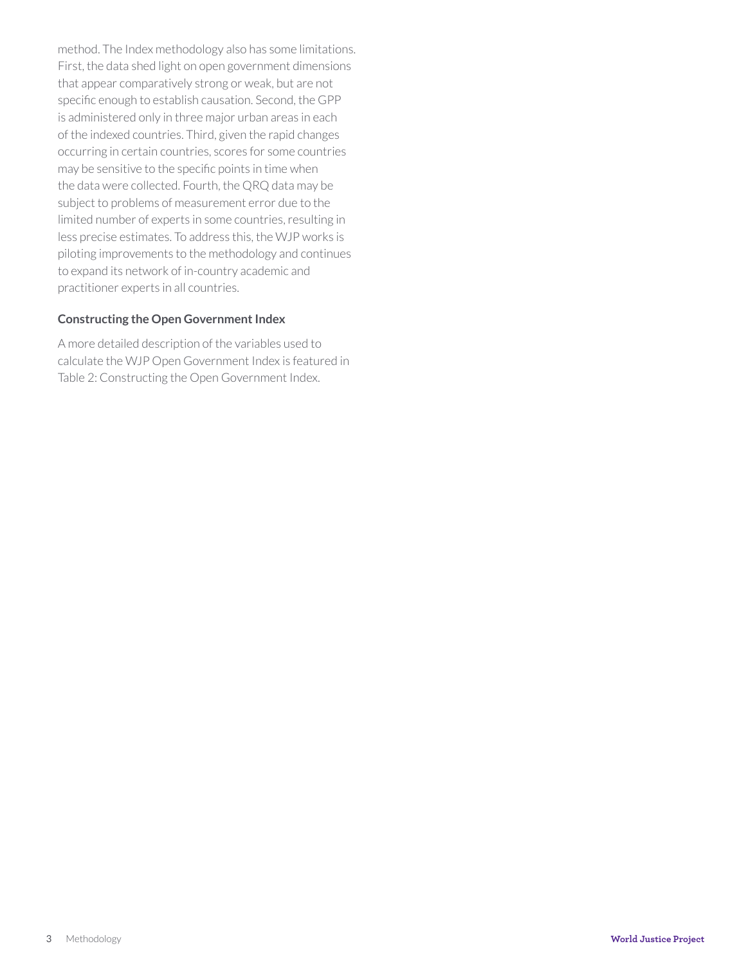method. The Index methodology also has some limitations. First, the data shed light on open government dimensions that appear comparatively strong or weak, but are not specific enough to establish causation. Second, the GPP is administered only in three major urban areas in each of the indexed countries. Third, given the rapid changes occurring in certain countries, scores for some countries may be sensitive to the specific points in time when the data were collected. Fourth, the QRQ data may be subject to problems of measurement error due to the limited number of experts in some countries, resulting in less precise estimates. To address this, the WJP works is piloting improvements to the methodology and continues to expand its network of in-country academic and practitioner experts in all countries.

#### **Constructing the Open Government Index**

A more detailed description of the variables used to calculate the WJP Open Government Index is featured in Table 2: Constructing the Open Government Index.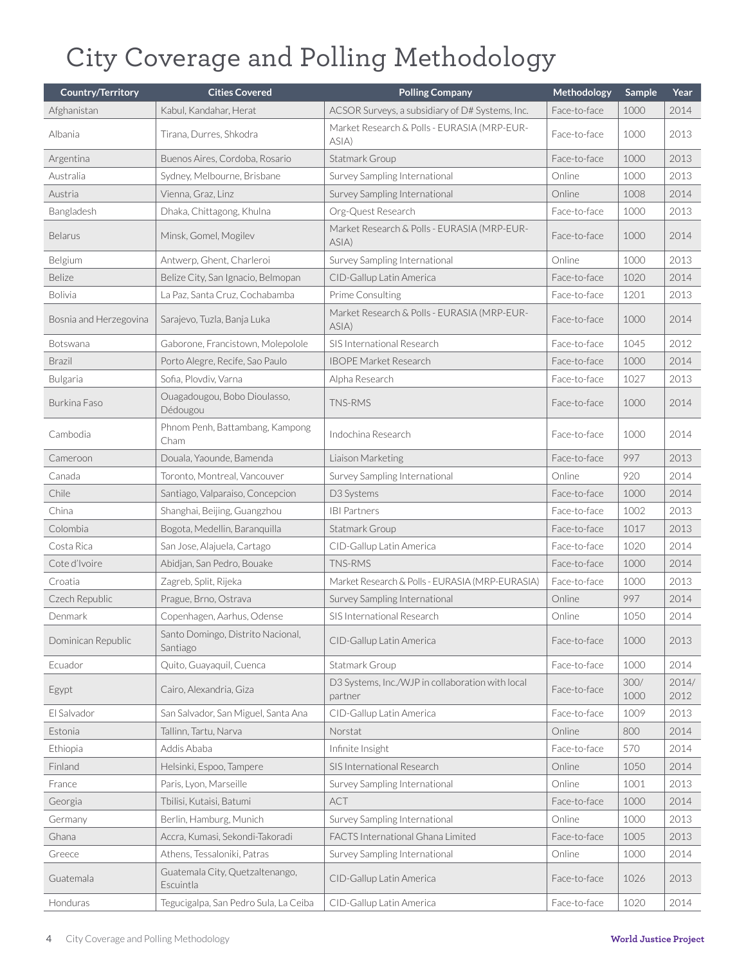## City Coverage and Polling Methodology

| <b>Country/Territory</b> | <b>Cities Covered</b>                         | <b>Polling Company</b>                                      | Methodology  | <b>Sample</b> | Year          |
|--------------------------|-----------------------------------------------|-------------------------------------------------------------|--------------|---------------|---------------|
| Afghanistan              | Kabul, Kandahar, Herat                        | ACSOR Surveys, a subsidiary of D# Systems, Inc.             | Face-to-face | 1000          | 2014          |
| Albania                  | Tirana, Durres, Shkodra                       | Market Research & Polls - EURASIA (MRP-EUR-<br>ASIA)        | Face-to-face | 1000          | 2013          |
| Argentina                | Buenos Aires, Cordoba, Rosario                | Statmark Group                                              | Face-to-face | 1000          | 2013          |
| Australia                | Sydney, Melbourne, Brisbane                   | Survey Sampling International                               | Online       | 1000          | 2013          |
| Austria                  | Vienna, Graz, Linz                            | Survey Sampling International                               | Online       | 1008          | 2014          |
| Bangladesh               | Dhaka, Chittagong, Khulna                     | Org-Quest Research                                          | Face-to-face | 1000          | 2013          |
| <b>Belarus</b>           | Minsk, Gomel, Mogilev                         | Market Research & Polls - EURASIA (MRP-EUR-<br>ASIA)        | Face-to-face | 1000          | 2014          |
| Belgium                  | Antwerp, Ghent, Charleroi                     | Survey Sampling International                               | Online       | 1000          | 2013          |
| Belize                   | Belize City, San Ignacio, Belmopan            | CID-Gallup Latin America                                    | Face-to-face | 1020          | 2014          |
| <b>Bolivia</b>           | La Paz, Santa Cruz, Cochabamba                | Prime Consulting                                            | Face-to-face | 1201          | 2013          |
| Bosnia and Herzegovina   | Sarajevo, Tuzla, Banja Luka                   | Market Research & Polls - EURASIA (MRP-EUR-<br>ASIA)        | Face-to-face | 1000          | 2014          |
| Botswana                 | Gaborone, Francistown, Molepolole             | SIS International Research                                  | Face-to-face | 1045          | 2012          |
| <b>Brazil</b>            | Porto Alegre, Recife, Sao Paulo               | <b>IBOPE Market Research</b>                                | Face-to-face | 1000          | 2014          |
| Bulgaria                 | Sofia, Plovdiv, Varna                         | Alpha Research                                              | Face-to-face | 1027          | 2013          |
| Burkina Faso             | Ouagadougou, Bobo Dioulasso,<br>Dédougou      | TNS-RMS                                                     | Face-to-face | 1000          | 2014          |
| Cambodia                 | Phnom Penh, Battambang, Kampong<br>Cham       | Indochina Research                                          | Face-to-face | 1000          | 2014          |
| Cameroon                 | Douala, Yaounde, Bamenda                      | Liaison Marketing                                           | Face-to-face | 997           | 2013          |
| Canada                   | Toronto, Montreal, Vancouver                  | Survey Sampling International                               | Online       | 920           | 2014          |
| Chile                    | Santiago, Valparaiso, Concepcion              | D3 Systems                                                  | Face-to-face | 1000          | 2014          |
| China                    | Shanghai, Beijing, Guangzhou                  | <b>IBI Partners</b>                                         | Face-to-face | 1002          | 2013          |
| Colombia                 | Bogota, Medellin, Baranquilla                 | Statmark Group                                              | Face-to-face | 1017          | 2013          |
| Costa Rica               | San Jose, Alajuela, Cartago                   | CID-Gallup Latin America                                    | Face-to-face | 1020          | 2014          |
| Cote d'Ivoire            | Abidjan, San Pedro, Bouake                    | TNS-RMS                                                     | Face-to-face | 1000          | 2014          |
| Croatia                  | Zagreb, Split, Rijeka                         | Market Research & Polls - EURASIA (MRP-EURASIA)             | Face-to-face | 1000          | 2013          |
| Czech Republic           | Prague, Brno, Ostrava                         | Survey Sampling International                               | Online       | 997           | 2014          |
| Denmark                  | Copenhagen, Aarhus, Odense                    | SIS International Research                                  | Online       | 1050          | 2014          |
| Dominican Republic       | Santo Domingo, Distrito Nacional,<br>Santiago | CID-Gallup Latin America                                    | Face-to-face | 1000          | 2013          |
| Ecuador                  | Quito, Guayaquil, Cuenca                      | Statmark Group                                              | Face-to-face | 1000          | 2014          |
| Egypt                    | Cairo, Alexandria, Giza                       | D3 Systems, Inc./WJP in collaboration with local<br>partner | Face-to-face | 300/<br>1000  | 2014/<br>2012 |
| El Salvador              | San Salvador, San Miguel, Santa Ana           | CID-Gallup Latin America                                    | Face-to-face | 1009          | 2013          |
| Estonia                  | Tallinn, Tartu, Narva                         | Norstat                                                     | Online       | 800           | 2014          |
| Ethiopia                 | Addis Ababa                                   | Infinite Insight                                            | Face-to-face | 570           | 2014          |
| Finland                  | Helsinki, Espoo, Tampere                      | SIS International Research                                  | Online       | 1050          | 2014          |
| France                   | Paris, Lyon, Marseille                        | Survey Sampling International                               | Online       | 1001          | 2013          |
| Georgia                  | Tbilisi, Kutaisi, Batumi                      | <b>ACT</b>                                                  | Face-to-face | 1000          | 2014          |
| Germany                  | Berlin, Hamburg, Munich                       | Survey Sampling International                               | Online       | 1000          | 2013          |
| Ghana                    | Accra, Kumasi, Sekondi-Takoradi               | FACTS International Ghana Limited                           | Face-to-face | 1005          | 2013          |
| Greece                   | Athens, Tessaloniki, Patras                   | Survey Sampling International                               | Online       | 1000          | 2014          |
| Guatemala                | Guatemala City, Quetzaltenango,<br>Escuintla  | CID-Gallup Latin America                                    | Face-to-face | 1026          | 2013          |
| Honduras                 | Tegucigalpa, San Pedro Sula, La Ceiba         | CID-Gallup Latin America                                    | Face-to-face | 1020          | 2014          |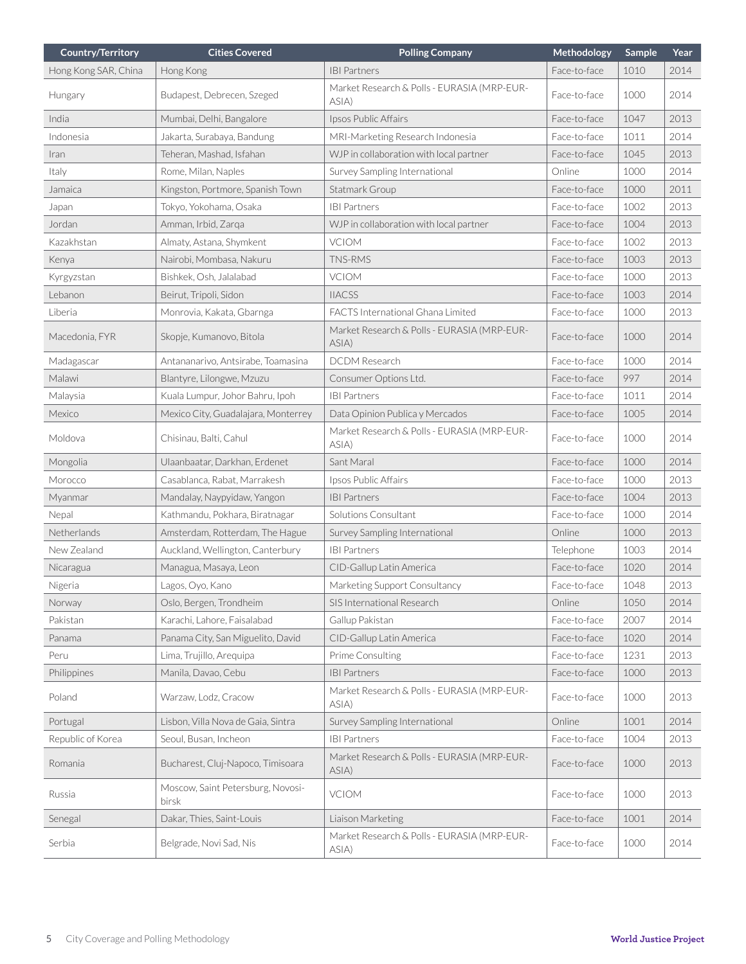| <b>Country/Territory</b> | <b>Cities Covered</b>                      | <b>Polling Company</b>                               | Methodology  | Sample | Year |
|--------------------------|--------------------------------------------|------------------------------------------------------|--------------|--------|------|
| Hong Kong SAR, China     | Hong Kong                                  | <b>IBI Partners</b>                                  | Face-to-face | 1010   | 2014 |
| Hungary                  | Budapest, Debrecen, Szeged                 | Market Research & Polls - EURASIA (MRP-EUR-<br>ASIA) | Face-to-face | 1000   | 2014 |
| India                    | Mumbai, Delhi, Bangalore                   | Ipsos Public Affairs                                 | Face-to-face | 1047   | 2013 |
| Indonesia                | Jakarta, Surabaya, Bandung                 | MRI-Marketing Research Indonesia                     | Face-to-face | 1011   | 2014 |
| Iran                     | Teheran, Mashad, Isfahan                   | WJP in collaboration with local partner              | Face-to-face | 1045   | 2013 |
| Italy                    | Rome, Milan, Naples                        | Survey Sampling International                        | Online       | 1000   | 2014 |
| Jamaica                  | Kingston, Portmore, Spanish Town           | Statmark Group                                       | Face-to-face | 1000   | 2011 |
| Japan                    | Tokyo, Yokohama, Osaka                     | <b>IBI Partners</b>                                  | Face-to-face | 1002   | 2013 |
| Jordan                   | Amman, Irbid, Zarga                        | WJP in collaboration with local partner              | Face-to-face | 1004   | 2013 |
| Kazakhstan               | Almaty, Astana, Shymkent                   | <b>VCIOM</b>                                         | Face-to-face | 1002   | 2013 |
| Kenya                    | Nairobi, Mombasa, Nakuru                   | <b>TNS-RMS</b>                                       | Face-to-face | 1003   | 2013 |
| Kyrgyzstan               | Bishkek, Osh, Jalalabad                    | <b>VCIOM</b>                                         | Face-to-face | 1000   | 2013 |
| Lebanon                  | Beirut, Tripoli, Sidon                     | <b>IIACSS</b>                                        | Face-to-face | 1003   | 2014 |
| Liberia                  | Monrovia, Kakata, Gbarnga                  | FACTS International Ghana Limited                    | Face-to-face | 1000   | 2013 |
| Macedonia, FYR           | Skopje, Kumanovo, Bitola                   | Market Research & Polls - EURASIA (MRP-EUR-<br>ASIA) | Face-to-face | 1000   | 2014 |
| Madagascar               | Antananarivo, Antsirabe, Toamasina         | <b>DCDM</b> Research                                 | Face-to-face | 1000   | 2014 |
| Malawi                   | Blantyre, Lilongwe, Mzuzu                  | Consumer Options Ltd.                                | Face-to-face | 997    | 2014 |
| Malaysia                 | Kuala Lumpur, Johor Bahru, Ipoh            | <b>IBI Partners</b>                                  | Face-to-face | 1011   | 2014 |
| Mexico                   | Mexico City, Guadalajara, Monterrey        | Data Opinion Publica y Mercados                      | Face-to-face | 1005   | 2014 |
| Moldova                  | Chisinau, Balti, Cahul                     | Market Research & Polls - EURASIA (MRP-EUR-<br>ASIA) | Face-to-face | 1000   | 2014 |
| Mongolia                 | Ulaanbaatar, Darkhan, Erdenet              | Sant Maral                                           | Face-to-face | 1000   | 2014 |
| Morocco                  | Casablanca, Rabat, Marrakesh               | Ipsos Public Affairs                                 | Face-to-face | 1000   | 2013 |
| Myanmar                  | Mandalay, Naypyidaw, Yangon                | <b>IBI Partners</b>                                  | Face-to-face | 1004   | 2013 |
| Nepal                    | Kathmandu, Pokhara, Biratnagar             | Solutions Consultant                                 | Face-to-face | 1000   | 2014 |
| Netherlands              | Amsterdam, Rotterdam, The Hague            | Survey Sampling International                        | Online       | 1000   | 2013 |
| New Zealand              | Auckland, Wellington, Canterbury           | <b>IBI Partners</b>                                  | Telephone    | 1003   | 2014 |
| Nicaragua                | Managua, Masaya, Leon                      | CID-Gallup Latin America                             | Face-to-face | 1020   | 2014 |
| Nigeria                  | Lagos, Oyo, Kano                           | Marketing Support Consultancy                        | Face-to-face | 1048   | 2013 |
| Norway                   | Oslo, Bergen, Trondheim                    | SIS International Research                           | Online       | 1050   | 2014 |
| Pakistan                 | Karachi, Lahore, Faisalabad                | Gallup Pakistan                                      | Face-to-face | 2007   | 2014 |
| Panama                   | Panama City, San Miguelito, David          | CID-Gallup Latin America                             | Face-to-face | 1020   | 2014 |
| Peru                     | Lima, Trujillo, Arequipa                   | Prime Consulting                                     | Face-to-face | 1231   | 2013 |
| Philippines              | Manila, Davao, Cebu                        | <b>IBI Partners</b>                                  | Face-to-face | 1000   | 2013 |
| Poland                   | Warzaw, Lodz, Cracow                       | Market Research & Polls - EURASIA (MRP-EUR-<br>ASIA) | Face-to-face | 1000   | 2013 |
| Portugal                 | Lisbon, Villa Nova de Gaia, Sintra         | Survey Sampling International                        | Online       | 1001   | 2014 |
| Republic of Korea        | Seoul, Busan, Incheon                      | <b>IBI Partners</b>                                  | Face-to-face | 1004   | 2013 |
| Romania                  | Bucharest, Cluj-Napoco, Timisoara          | Market Research & Polls - EURASIA (MRP-EUR-<br>ASIA) | Face-to-face | 1000   | 2013 |
| Russia                   | Moscow, Saint Petersburg, Novosi-<br>birsk | <b>VCIOM</b>                                         | Face-to-face | 1000   | 2013 |
| Senegal                  | Dakar, Thies, Saint-Louis                  | Liaison Marketing                                    | Face-to-face | 1001   | 2014 |
| Serbia                   | Belgrade, Novi Sad, Nis                    | Market Research & Polls - EURASIA (MRP-EUR-<br>ASIA) | Face-to-face | 1000   | 2014 |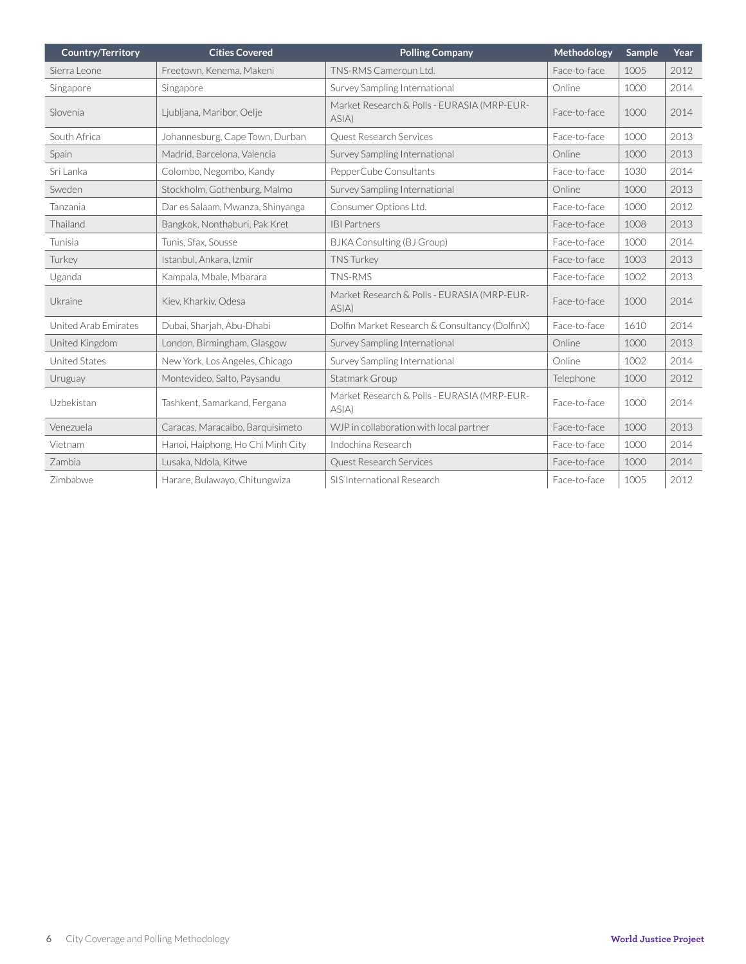| <b>Country/Territory</b> | <b>Cities Covered</b>             | <b>Polling Company</b>                               | Methodology  | Sample | Year |
|--------------------------|-----------------------------------|------------------------------------------------------|--------------|--------|------|
| Sierra Leone             | Freetown, Kenema, Makeni          | TNS-RMS Cameroun Ltd.                                | Face-to-face | 1005   | 2012 |
| Singapore                | Singapore                         | Survey Sampling International                        | Online       | 1000   | 2014 |
| Slovenia                 | Ljubljana, Maribor, Oelje         | Market Research & Polls - EURASIA (MRP-EUR-<br>ASIA  | Face-to-face | 1000   | 2014 |
| South Africa             | Johannesburg, Cape Town, Durban   | Quest Research Services                              | Face-to-face | 1000   | 2013 |
| Spain                    | Madrid, Barcelona, Valencia       | Survey Sampling International                        | Online       | 1000   | 2013 |
| Sri Lanka                | Colombo, Negombo, Kandy           | PepperCube Consultants                               | Face-to-face | 1030   | 2014 |
| Sweden                   | Stockholm, Gothenburg, Malmo      | Survey Sampling International                        | Online       | 1000   | 2013 |
| Tanzania                 | Dar es Salaam, Mwanza, Shinyanga  | Consumer Options Ltd.                                | Face-to-face | 1000   | 2012 |
| Thailand                 | Bangkok, Nonthaburi, Pak Kret     | <b>IBI Partners</b>                                  | Face-to-face | 1008   | 2013 |
| Tunisia                  | Tunis, Sfax, Sousse               | <b>BJKA Consulting (BJ Group)</b>                    | Face-to-face | 1000   | 2014 |
| Turkey                   | Istanbul, Ankara, Izmir           | <b>TNS Turkey</b>                                    | Face-to-face | 1003   | 2013 |
| Uganda                   | Kampala, Mbale, Mbarara           | TNS-RMS                                              | Face-to-face | 1002   | 2013 |
| Ukraine                  | Kiev, Kharkiv, Odesa              | Market Research & Polls - EURASIA (MRP-EUR-<br>ASIA) | Face-to-face | 1000   | 2014 |
| United Arab Emirates     | Dubai, Sharjah, Abu-Dhabi         | Dolfin Market Research & Consultancy (DolfinX)       | Face-to-face | 1610   | 2014 |
| United Kingdom           | London, Birmingham, Glasgow       | Survey Sampling International                        | Online       | 1000   | 2013 |
| <b>United States</b>     | New York, Los Angeles, Chicago    | Survey Sampling International                        | Online       | 1002   | 2014 |
| Uruguay                  | Montevideo, Salto, Paysandu       | Statmark Group                                       | Telephone    | 1000   | 2012 |
| Uzbekistan               | Tashkent, Samarkand, Fergana      | Market Research & Polls - EURASIA (MRP-EUR-<br>ASIA  | Face-to-face | 1000   | 2014 |
| Venezuela                | Caracas, Maracaibo, Barquisimeto  | WJP in collaboration with local partner              | Face-to-face | 1000   | 2013 |
| Vietnam                  | Hanoi, Haiphong, Ho Chi Minh City | Indochina Research                                   | Face-to-face | 1000   | 2014 |
| Zambia                   | Lusaka, Ndola, Kitwe              | Quest Research Services                              | Face-to-face | 1000   | 2014 |
| Zimbabwe                 | Harare, Bulawayo, Chitungwiza     | SIS International Research                           | Face-to-face | 1005   | 2012 |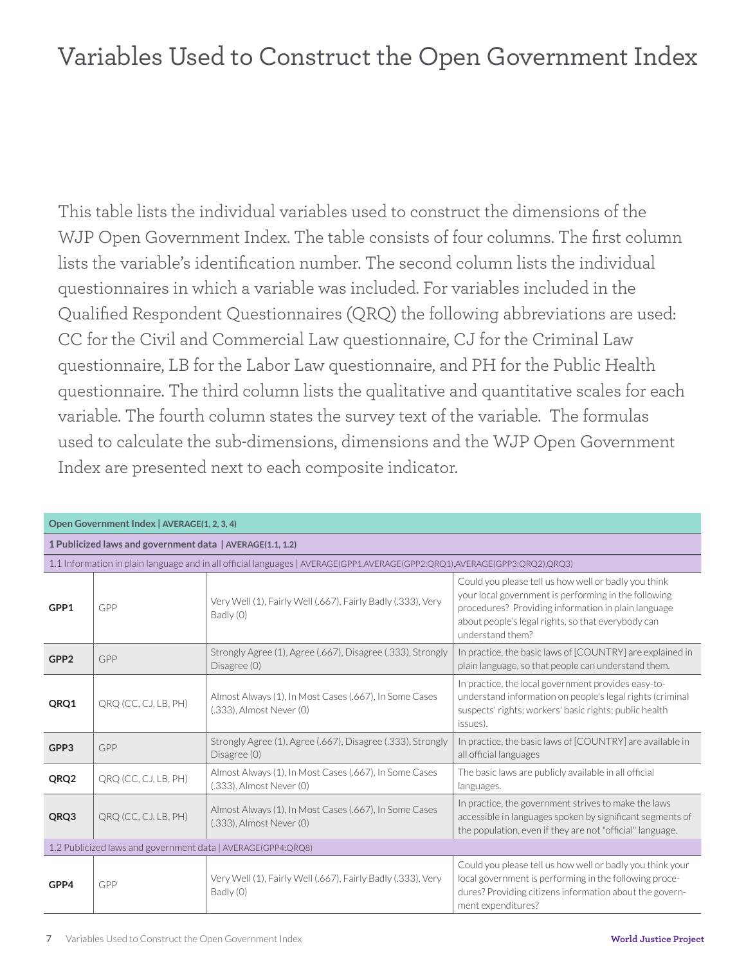### Variables Used to Construct the Open Government Index

This table lists the individual variables used to construct the dimensions of the WJP Open Government Index. The table consists of four columns. The first column lists the variable's identification number. The second column lists the individual questionnaires in which a variable was included. For variables included in the Qualified Respondent Questionnaires (QRQ) the following abbreviations are used: CC for the Civil and Commercial Law questionnaire, CJ for the Criminal Law questionnaire, LB for the Labor Law questionnaire, and PH for the Public Health questionnaire. The third column lists the qualitative and quantitative scales for each variable. The fourth column states the survey text of the variable. The formulas used to calculate the sub-dimensions, dimensions and the WJP Open Government Index are presented next to each composite indicator.

| Open Government Index   AVERAGE(1, 2, 3, 4)                  |                      |                                                                                                                            |                                                                                                                                                                                                                                               |  |
|--------------------------------------------------------------|----------------------|----------------------------------------------------------------------------------------------------------------------------|-----------------------------------------------------------------------------------------------------------------------------------------------------------------------------------------------------------------------------------------------|--|
| 1 Publicized laws and government data   AVERAGE(1.1, 1.2)    |                      |                                                                                                                            |                                                                                                                                                                                                                                               |  |
|                                                              |                      | 1.1 Information in plain language and in all official languages   AVERAGE(GPP1,AVERAGE(GPP2:QRQ1),AVERAGE(GPP3:QRQ2),QRQ3) |                                                                                                                                                                                                                                               |  |
| GPP1                                                         | GPP                  | Very Well (1), Fairly Well (.667), Fairly Badly (.333), Very<br>Badly (0)                                                  | Could you please tell us how well or badly you think<br>your local government is performing in the following<br>procedures? Providing information in plain language<br>about people's legal rights, so that everybody can<br>understand them? |  |
| GPP <sub>2</sub>                                             | GPP                  | Strongly Agree (1), Agree (.667), Disagree (.333), Strongly<br>Disagree (0)                                                | In practice, the basic laws of [COUNTRY] are explained in<br>plain language, so that people can understand them.                                                                                                                              |  |
| QRQ1                                                         | QRQ (CC, CJ, LB, PH) | Almost Always (1), In Most Cases (.667), In Some Cases<br>(.333), Almost Never (0)                                         | In practice, the local government provides easy-to-<br>understand information on people's legal rights (criminal<br>suspects' rights; workers' basic rights; public health<br>issues).                                                        |  |
| GPP3                                                         | GPP                  | Strongly Agree (1), Agree (.667), Disagree (.333), Strongly<br>Disagree (0)                                                | In practice, the basic laws of [COUNTRY] are available in<br>all official languages                                                                                                                                                           |  |
| QRQ2                                                         | QRQ (CC, CJ, LB, PH) | Almost Always (1), In Most Cases (.667), In Some Cases<br>(.333), Almost Never (0)                                         | The basic laws are publicly available in all official<br>languages.                                                                                                                                                                           |  |
| QRQ3                                                         | QRQ (CC, CJ, LB, PH) | Almost Always (1), In Most Cases (.667), In Some Cases<br>(.333), Almost Never (0)                                         | In practice, the government strives to make the laws<br>accessible in languages spoken by significant segments of<br>the population, even if they are not "official" language.                                                                |  |
| 1.2 Publicized laws and government data   AVERAGE(GPP4:QRQ8) |                      |                                                                                                                            |                                                                                                                                                                                                                                               |  |
| GPP4                                                         | GPP                  | Very Well (1), Fairly Well (.667), Fairly Badly (.333), Very<br>Badly (0)                                                  | Could you please tell us how well or badly you think your<br>local government is performing in the following proce-<br>dures? Providing citizens information about the govern-<br>ment expenditures?                                          |  |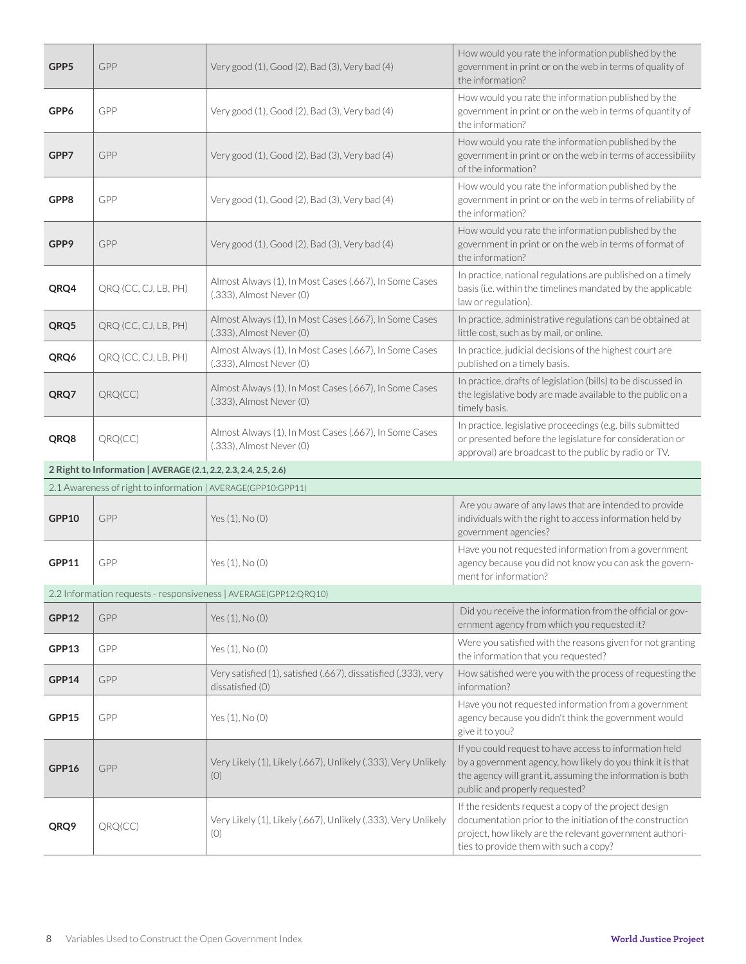| GPP5  | GPP                                                             | Very good (1), Good (2), Bad (3), Very bad (4)                                      | How would you rate the information published by the<br>government in print or on the web in terms of quality of<br>the information?                                                                                   |
|-------|-----------------------------------------------------------------|-------------------------------------------------------------------------------------|-----------------------------------------------------------------------------------------------------------------------------------------------------------------------------------------------------------------------|
| GPP6  | GPP                                                             | Very good (1), Good (2), Bad (3), Very bad (4)                                      | How would you rate the information published by the<br>government in print or on the web in terms of quantity of<br>the information?                                                                                  |
| GPP7  | GPP                                                             | Very good (1), Good (2), Bad (3), Very bad (4)                                      | How would you rate the information published by the<br>government in print or on the web in terms of accessibility<br>of the information?                                                                             |
| GPP8  | GPP                                                             | Very good (1), Good (2), Bad (3), Very bad (4)                                      | How would you rate the information published by the<br>government in print or on the web in terms of reliability of<br>the information?                                                                               |
| GPP9  | GPP                                                             | Very good (1), Good (2), Bad (3), Very bad (4)                                      | How would you rate the information published by the<br>government in print or on the web in terms of format of<br>the information?                                                                                    |
| QRQ4  | QRQ (CC, CJ, LB, PH)                                            | Almost Always (1), In Most Cases (.667), In Some Cases<br>(.333), Almost Never (0)  | In practice, national regulations are published on a timely<br>basis (i.e. within the timelines mandated by the applicable<br>law or regulation).                                                                     |
| QRQ5  | QRQ (CC, CJ, LB, PH)                                            | Almost Always (1), In Most Cases (.667), In Some Cases<br>(.333), Almost Never (0)  | In practice, administrative regulations can be obtained at<br>little cost, such as by mail, or online.                                                                                                                |
| QRQ6  | QRQ (CC, CJ, LB, PH)                                            | Almost Always (1), In Most Cases (.667), In Some Cases<br>(.333), Almost Never (0)  | In practice, judicial decisions of the highest court are<br>published on a timely basis.                                                                                                                              |
| QRQ7  | QRQ(CC)                                                         | Almost Always (1), In Most Cases (.667), In Some Cases<br>(.333), Almost Never (0)  | In practice, drafts of legislation (bills) to be discussed in<br>the legislative body are made available to the public on a<br>timely basis.                                                                          |
| QRQ8  | QRQ(CC)                                                         | Almost Always (1), In Most Cases (.667), In Some Cases<br>(.333), Almost Never (0)  | In practice, legislative proceedings (e.g. bills submitted<br>or presented before the legislature for consideration or                                                                                                |
|       |                                                                 |                                                                                     | approval) are broadcast to the public by radio or TV.                                                                                                                                                                 |
|       | 2 Right to Information   AVERAGE (2.1, 2.2, 2.3, 2.4, 2.5, 2.6) |                                                                                     |                                                                                                                                                                                                                       |
|       | 2.1 Awareness of right to information   AVERAGE(GPP10:GPP11)    |                                                                                     |                                                                                                                                                                                                                       |
| GPP10 | GPP                                                             | Yes (1), No (0)                                                                     | Are you aware of any laws that are intended to provide<br>individuals with the right to access information held by<br>government agencies?                                                                            |
| GPP11 | GPP                                                             | Yes (1), No (0)                                                                     | Have you not requested information from a government<br>agency because you did not know you can ask the govern-<br>ment for information?                                                                              |
|       |                                                                 | 2.2 Information requests - responsiveness   AVERAGE(GPP12:QRQ10)                    |                                                                                                                                                                                                                       |
| GPP12 | GPP                                                             | Yes $(1)$ , No $(0)$                                                                | Did you receive the information from the official or gov-<br>ernment agency from which you requested it?                                                                                                              |
| GPP13 | GPP                                                             | Yes (1), No (0)                                                                     | Were you satisfied with the reasons given for not granting<br>the information that you requested?                                                                                                                     |
| GPP14 | GPP                                                             | Very satisfied (1), satisfied (.667), dissatisfied (.333), very<br>dissatisfied (0) | How satisfied were you with the process of requesting the<br>information?                                                                                                                                             |
| GPP15 | GPP                                                             | Yes (1), No (0)                                                                     | Have you not requested information from a government<br>agency because you didn't think the government would<br>give it to you?                                                                                       |
| GPP16 | GPP                                                             | Very Likely (1), Likely (.667), Unlikely (.333), Very Unlikely<br>(O)               | If you could request to have access to information held<br>by a government agency, how likely do you think it is that<br>the agency will grant it, assuming the information is both<br>public and properly requested? |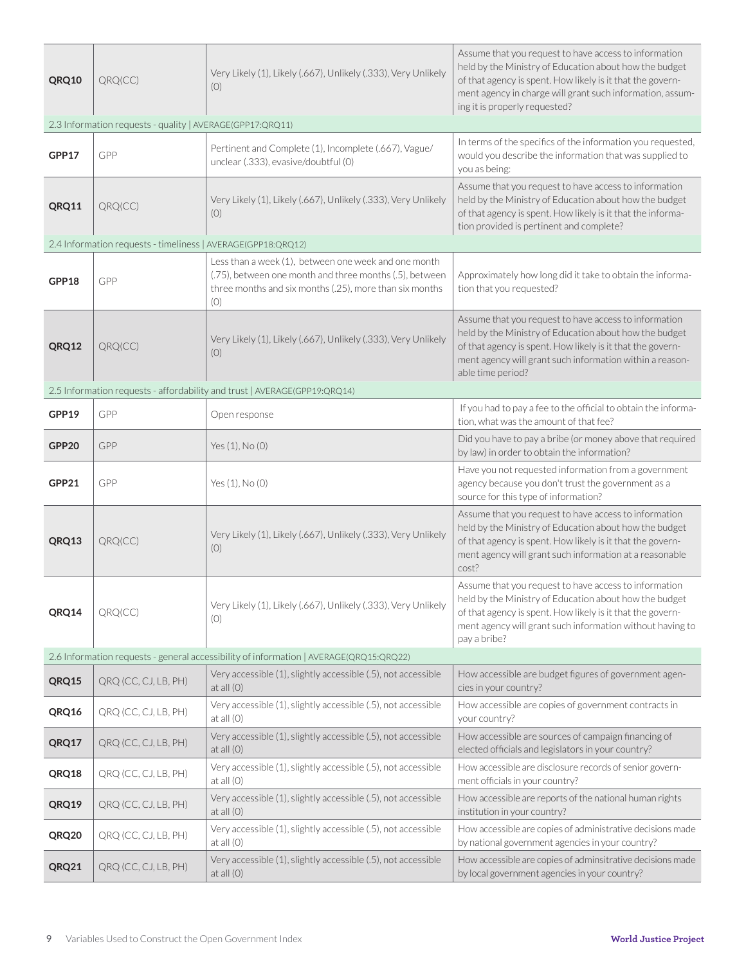| QRQ10                                                                                  | QRQ(CC)                                                      | Very Likely (1), Likely (.667), Unlikely (.333), Very Unlikely<br>(O)                                                                                                             | Assume that you request to have access to information<br>held by the Ministry of Education about how the budget<br>of that agency is spent. How likely is it that the govern-<br>ment agency in charge will grant such information, assum-<br>ing it is properly requested? |  |  |
|----------------------------------------------------------------------------------------|--------------------------------------------------------------|-----------------------------------------------------------------------------------------------------------------------------------------------------------------------------------|-----------------------------------------------------------------------------------------------------------------------------------------------------------------------------------------------------------------------------------------------------------------------------|--|--|
|                                                                                        | 2.3 Information requests - quality   AVERAGE(GPP17:QRQ11)    |                                                                                                                                                                                   |                                                                                                                                                                                                                                                                             |  |  |
| GPP17                                                                                  | GPP                                                          | Pertinent and Complete (1), Incomplete (.667), Vague/<br>unclear (.333), evasive/doubtful (0)                                                                                     | In terms of the specifics of the information you requested,<br>would you describe the information that was supplied to<br>you as being:                                                                                                                                     |  |  |
| QRQ11                                                                                  | QRQ(CC)                                                      | Very Likely (1), Likely (.667), Unlikely (.333), Very Unlikely<br>(0)                                                                                                             | Assume that you request to have access to information<br>held by the Ministry of Education about how the budget<br>of that agency is spent. How likely is it that the informa-<br>tion provided is pertinent and complete?                                                  |  |  |
|                                                                                        | 2.4 Information requests - timeliness   AVERAGE(GPP18:QRQ12) |                                                                                                                                                                                   |                                                                                                                                                                                                                                                                             |  |  |
| GPP18                                                                                  | GPP                                                          | Less than a week (1), between one week and one month<br>(.75), between one month and three months (.5), between<br>three months and six months (.25), more than six months<br>(0) | Approximately how long did it take to obtain the informa-<br>tion that you requested?                                                                                                                                                                                       |  |  |
| QRQ12                                                                                  | QRQ(CC)                                                      | Very Likely (1), Likely (.667), Unlikely (.333), Very Unlikely<br>(0)                                                                                                             | Assume that you request to have access to information<br>held by the Ministry of Education about how the budget<br>of that agency is spent. How likely is it that the govern-<br>ment agency will grant such information within a reason-<br>able time period?              |  |  |
|                                                                                        |                                                              | 2.5 Information requests - affordability and trust   AVERAGE(GPP19:QRQ14)                                                                                                         |                                                                                                                                                                                                                                                                             |  |  |
| GPP19                                                                                  | GPP                                                          | Open response                                                                                                                                                                     | If you had to pay a fee to the official to obtain the informa-<br>tion, what was the amount of that fee?                                                                                                                                                                    |  |  |
| GPP20                                                                                  | GPP                                                          | Yes (1), No (0)                                                                                                                                                                   | Did you have to pay a bribe (or money above that required<br>by law) in order to obtain the information?                                                                                                                                                                    |  |  |
| GPP21                                                                                  | GPP                                                          | Yes (1), No (0)                                                                                                                                                                   | Have you not requested information from a government<br>agency because you don't trust the government as a<br>source for this type of information?                                                                                                                          |  |  |
| QRQ13                                                                                  | QRQ(CC)                                                      | Very Likely (1), Likely (.667), Unlikely (.333), Very Unlikely<br>(0)                                                                                                             | Assume that you request to have access to information<br>held by the Ministry of Education about how the budget<br>of that agency is spent. How likely is it that the govern-<br>ment agency will grant such information at a reasonable<br>cost?                           |  |  |
| QRQ14                                                                                  | QRQ(CC)                                                      | Very Likely (1), Likely (.667), Unlikely (.333), Very Unlikely<br>(0)                                                                                                             | Assume that you request to have access to information<br>held by the Ministry of Education about how the budget<br>of that agency is spent. How likely is it that the govern-<br>ment agency will grant such information without having to<br>pay a bribe?                  |  |  |
| 2.6 Information requests - general accessibility of information   AVERAGE(QRQ15:QRQ22) |                                                              |                                                                                                                                                                                   |                                                                                                                                                                                                                                                                             |  |  |
| QRQ15                                                                                  | QRQ (CC, CJ, LB, PH)                                         | Very accessible (1), slightly accessible (.5), not accessible<br>at all $(0)$                                                                                                     | How accessible are budget figures of government agen-<br>cies in your country?                                                                                                                                                                                              |  |  |
| QRQ16                                                                                  | QRQ (CC, CJ, LB, PH)                                         | Very accessible (1), slightly accessible (.5), not accessible<br>at all $(0)$                                                                                                     | How accessible are copies of government contracts in<br>your country?                                                                                                                                                                                                       |  |  |
| QRQ17                                                                                  | QRQ (CC, CJ, LB, PH)                                         | Very accessible (1), slightly accessible (.5), not accessible<br>at all $(0)$                                                                                                     | How accessible are sources of campaign financing of<br>elected officials and legislators in your country?                                                                                                                                                                   |  |  |
| QRQ18                                                                                  | QRQ (CC, CJ, LB, PH)                                         | Very accessible (1), slightly accessible (.5), not accessible<br>at all $(0)$                                                                                                     | How accessible are disclosure records of senior govern-<br>ment officials in your country?                                                                                                                                                                                  |  |  |
| QRQ19                                                                                  | QRQ (CC, CJ, LB, PH)                                         | Very accessible (1), slightly accessible (.5), not accessible<br>at all $(0)$                                                                                                     | How accessible are reports of the national human rights<br>institution in your country?                                                                                                                                                                                     |  |  |
| QRQ20                                                                                  | QRQ (CC, CJ, LB, PH)                                         | Very accessible (1), slightly accessible (.5), not accessible<br>at all $(0)$                                                                                                     | How accessible are copies of administrative decisions made<br>by national government agencies in your country?                                                                                                                                                              |  |  |
| QRQ21                                                                                  | QRQ (CC, CJ, LB, PH)                                         | Very accessible (1), slightly accessible (.5), not accessible<br>at all $(0)$                                                                                                     | How accessible are copies of adminsitrative decisions made<br>by local government agencies in your country?                                                                                                                                                                 |  |  |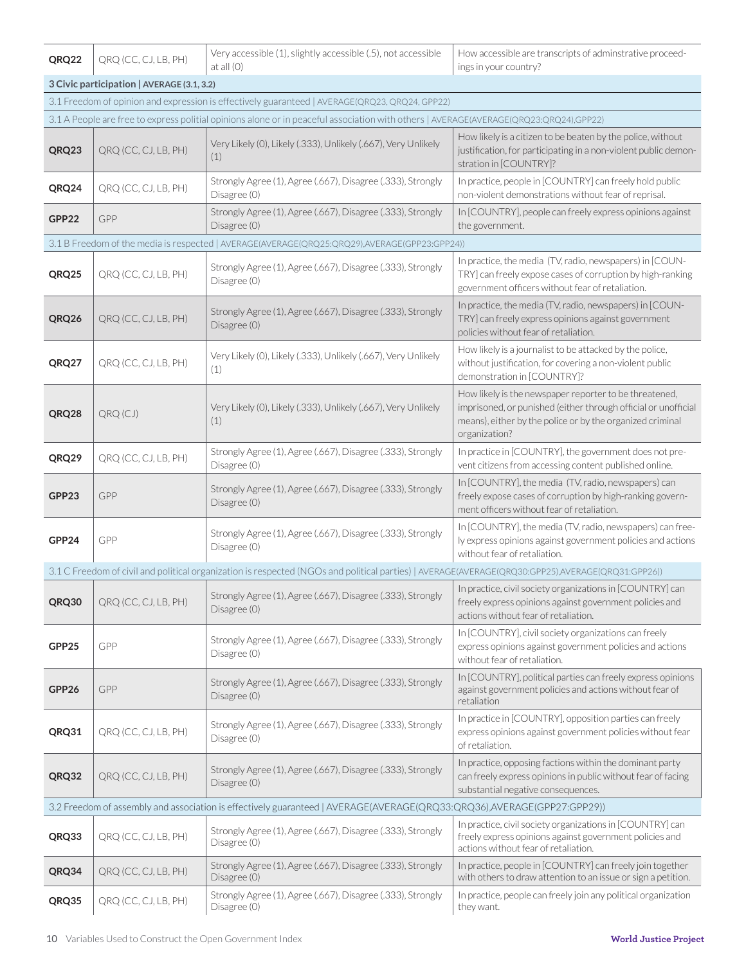| QRQ22                                                                                                                  | QRQ (CC, CJ, LB, PH)                       | Very accessible (1), slightly accessible (.5), not accessible<br>at all $(0)$                                                                    | How accessible are transcripts of adminstrative proceed-<br>ings in your country?                                                                                                                      |  |
|------------------------------------------------------------------------------------------------------------------------|--------------------------------------------|--------------------------------------------------------------------------------------------------------------------------------------------------|--------------------------------------------------------------------------------------------------------------------------------------------------------------------------------------------------------|--|
|                                                                                                                        | 3 Civic participation   AVERAGE (3.1, 3.2) |                                                                                                                                                  |                                                                                                                                                                                                        |  |
|                                                                                                                        |                                            | 3.1 Freedom of opinion and expression is effectively guaranteed   AVERAGE(QRQ23, QRQ24, GPP22)                                                   |                                                                                                                                                                                                        |  |
|                                                                                                                        |                                            | 3.1 A People are free to express politial opinions alone or in peaceful association with others   AVERAGE(AVERAGE(QRQ23:QRQ24),GPP22)            |                                                                                                                                                                                                        |  |
| QRQ23                                                                                                                  | QRQ (CC, CJ, LB, PH)                       | Very Likely (0), Likely (.333), Unlikely (.667), Very Unlikely<br>(1)                                                                            | How likely is a citizen to be beaten by the police, without<br>justification, for participating in a non-violent public demon-<br>stration in [COUNTRY]?                                               |  |
| QRQ24                                                                                                                  | QRQ (CC, CJ, LB, PH)                       | Strongly Agree (1), Agree (.667), Disagree (.333), Strongly<br>Disagree (0)                                                                      | In practice, people in [COUNTRY] can freely hold public<br>non-violent demonstrations without fear of reprisal.                                                                                        |  |
| GPP22                                                                                                                  | GPP                                        | Strongly Agree (1), Agree (.667), Disagree (.333), Strongly<br>Disagree (0)                                                                      | In [COUNTRY], people can freely express opinions against<br>the government.                                                                                                                            |  |
|                                                                                                                        |                                            | 3.1 B Freedom of the media is respected   AVERAGE(AVERAGE(QRQ25:QRQ29),AVERAGE(GPP23:GPP24))                                                     |                                                                                                                                                                                                        |  |
| QRQ25                                                                                                                  | QRQ (CC, CJ, LB, PH)                       | Strongly Agree (1), Agree (.667), Disagree (.333), Strongly<br>Disagree (0)                                                                      | In practice, the media (TV, radio, newspapers) in [COUN-<br>TRY] can freely expose cases of corruption by high-ranking<br>government officers without fear of retaliation.                             |  |
| QRQ26                                                                                                                  | QRQ (CC, CJ, LB, PH)                       | Strongly Agree (1), Agree (.667), Disagree (.333), Strongly<br>Disagree (0)                                                                      | In practice, the media (TV, radio, newspapers) in [COUN-<br>TRY] can freely express opinions against government<br>policies without fear of retaliation.                                               |  |
| QRQ27                                                                                                                  | QRQ (CC, CJ, LB, PH)                       | Very Likely (0), Likely (.333), Unlikely (.667), Very Unlikely<br>(1)                                                                            | How likely is a journalist to be attacked by the police,<br>without justification, for covering a non-violent public<br>demonstration in [COUNTRY]?                                                    |  |
| QRQ28                                                                                                                  | QRQ(CJ)                                    | Very Likely (0), Likely (.333), Unlikely (.667), Very Unlikely<br>(1)                                                                            | How likely is the newspaper reporter to be threatened,<br>imprisoned, or punished (either through official or unofficial<br>means), either by the police or by the organized criminal<br>organization? |  |
| QRQ29                                                                                                                  | QRQ (CC, CJ, LB, PH)                       | Strongly Agree (1), Agree (.667), Disagree (.333), Strongly<br>Disagree (0)                                                                      | In practice in [COUNTRY], the government does not pre-<br>vent citizens from accessing content published online.                                                                                       |  |
| GPP23                                                                                                                  | GPP                                        | Strongly Agree (1), Agree (.667), Disagree (.333), Strongly<br>Disagree (0)                                                                      | In [COUNTRY], the media (TV, radio, newspapers) can<br>freely expose cases of corruption by high-ranking govern-<br>ment officers without fear of retaliation.                                         |  |
| GPP24                                                                                                                  | GPP                                        | Strongly Agree (1), Agree (.667), Disagree (.333), Strongly<br>Disagree (0)                                                                      | In [COUNTRY], the media (TV, radio, newspapers) can free-<br>ly express opinions against government policies and actions<br>without fear of retaliation.                                               |  |
|                                                                                                                        |                                            | 3.1 C Freedom of civil and political organization is respected (NGOs and political parties)   AVERAGE(AVERAGE(QRQ30:GPP25),AVERAGE(QRQ31:GPP26)) |                                                                                                                                                                                                        |  |
| QRQ30                                                                                                                  | QRQ (CC, CJ, LB, PH)                       | Strongly Agree (1), Agree (.667), Disagree (.333), Strongly<br>Disagree (0)                                                                      | In practice, civil society organizations in [COUNTRY] can<br>freely express opinions against government policies and<br>actions without fear of retaliation.                                           |  |
| GPP25                                                                                                                  | GPP                                        | Strongly Agree (1), Agree (.667), Disagree (.333), Strongly<br>Disagree (0)                                                                      | In [COUNTRY], civil society organizations can freely<br>express opinions against government policies and actions<br>without fear of retaliation.                                                       |  |
| GPP26                                                                                                                  | GPP                                        | Strongly Agree (1), Agree (.667), Disagree (.333), Strongly<br>Disagree (0)                                                                      | In [COUNTRY], political parties can freely express opinions<br>against government policies and actions without fear of<br>retaliation                                                                  |  |
| QRQ31                                                                                                                  | QRQ (CC, CJ, LB, PH)                       | Strongly Agree (1), Agree (.667), Disagree (.333), Strongly<br>Disagree (0)                                                                      | In practice in [COUNTRY], opposition parties can freely<br>express opinions against government policies without fear<br>of retaliation.                                                                |  |
| QRQ32                                                                                                                  | QRQ (CC, CJ, LB, PH)                       | Strongly Agree (1), Agree (.667), Disagree (.333), Strongly<br>Disagree (0)                                                                      | In practice, opposing factions within the dominant party<br>can freely express opinions in public without fear of facing<br>substantial negative consequences.                                         |  |
| 3.2 Freedom of assembly and association is effectively guaranteed   AVERAGE(AVERAGE(QRQ33:QRQ36),AVERAGE(GPP27:GPP29)) |                                            |                                                                                                                                                  |                                                                                                                                                                                                        |  |
| QRQ33                                                                                                                  | QRQ (CC, CJ, LB, PH)                       | Strongly Agree (1), Agree (.667), Disagree (.333), Strongly<br>Disagree (0)                                                                      | In practice, civil society organizations in [COUNTRY] can<br>freely express opinions against government policies and<br>actions without fear of retaliation.                                           |  |
| QRQ34                                                                                                                  | QRQ (CC, CJ, LB, PH)                       | Strongly Agree (1), Agree (.667), Disagree (.333), Strongly<br>Disagree (0)                                                                      | In practice, people in [COUNTRY] can freely join together<br>with others to draw attention to an issue or sign a petition.                                                                             |  |
| QRQ35                                                                                                                  | QRQ (CC, CJ, LB, PH)                       | Strongly Agree (1), Agree (.667), Disagree (.333), Strongly<br>Disagree (0)                                                                      | In practice, people can freely join any political organization<br>they want.                                                                                                                           |  |